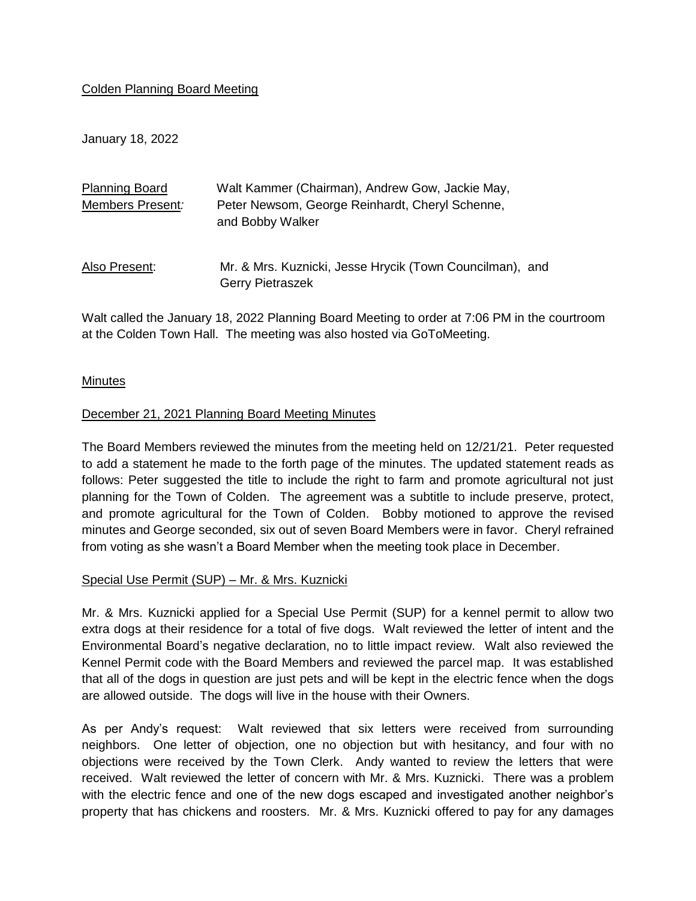## Colden Planning Board Meeting

January 18, 2022

| <b>Planning Board</b> | Walt Kammer (Chairman), Andrew Gow, Jackie May,                                     |
|-----------------------|-------------------------------------------------------------------------------------|
| Members Present:      | Peter Newsom, George Reinhardt, Cheryl Schenne,<br>and Bobby Walker                 |
| Also Present:         | Mr. & Mrs. Kuznicki, Jesse Hrycik (Town Councilman), and<br><b>Gerry Pietraszek</b> |

Walt called the January 18, 2022 Planning Board Meeting to order at 7:06 PM in the courtroom at the Colden Town Hall. The meeting was also hosted via GoToMeeting.

## Minutes

## December 21, 2021 Planning Board Meeting Minutes

The Board Members reviewed the minutes from the meeting held on 12/21/21. Peter requested to add a statement he made to the forth page of the minutes. The updated statement reads as follows: Peter suggested the title to include the right to farm and promote agricultural not just planning for the Town of Colden. The agreement was a subtitle to include preserve, protect, and promote agricultural for the Town of Colden. Bobby motioned to approve the revised minutes and George seconded, six out of seven Board Members were in favor. Cheryl refrained from voting as she wasn't a Board Member when the meeting took place in December.

## Special Use Permit (SUP) – Mr. & Mrs. Kuznicki

Mr. & Mrs. Kuznicki applied for a Special Use Permit (SUP) for a kennel permit to allow two extra dogs at their residence for a total of five dogs. Walt reviewed the letter of intent and the Environmental Board's negative declaration, no to little impact review. Walt also reviewed the Kennel Permit code with the Board Members and reviewed the parcel map. It was established that all of the dogs in question are just pets and will be kept in the electric fence when the dogs are allowed outside. The dogs will live in the house with their Owners.

As per Andy's request: Walt reviewed that six letters were received from surrounding neighbors. One letter of objection, one no objection but with hesitancy, and four with no objections were received by the Town Clerk. Andy wanted to review the letters that were received. Walt reviewed the letter of concern with Mr. & Mrs. Kuznicki. There was a problem with the electric fence and one of the new dogs escaped and investigated another neighbor's property that has chickens and roosters. Mr. & Mrs. Kuznicki offered to pay for any damages